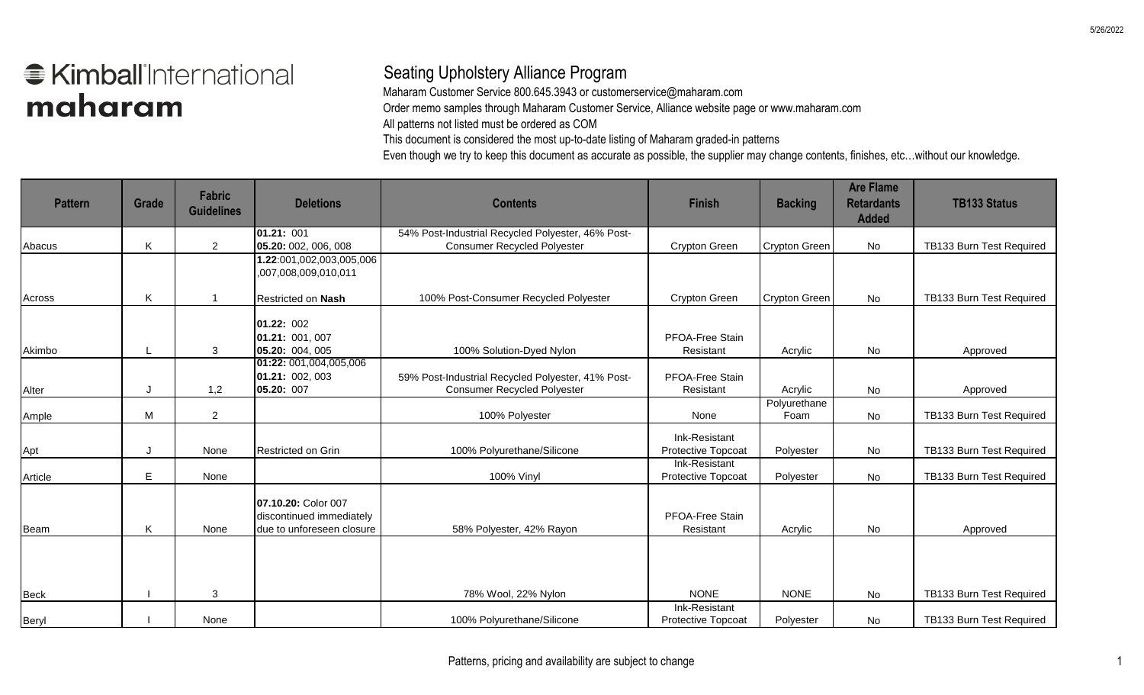## **€ Kimball** International maharam

## Seating Upholstery Alliance Program

Maharam Customer Service 800.645.3943 or customerservice@maharam.com

Order memo samples through Maharam Customer Service, Alliance website page or www.maharam.com

All patterns not listed must be ordered as COM

This document is considered the most up-to-date listing of Maharam graded-in patterns

Even though we try to keep this document as accurate as possible, the supplier may change contents, finishes, etc…without our knowledge.

| <b>Pattern</b> | <b>Grade</b> | <b>Fabric</b><br><b>Guidelines</b> | <b>Deletions</b>                                                             | <b>Contents</b>                                                                         | <b>Finish</b>                       | <b>Backing</b>       | <b>Are Flame</b><br><b>Retardants</b><br><b>Added</b> | <b>TB133 Status</b>      |
|----------------|--------------|------------------------------------|------------------------------------------------------------------------------|-----------------------------------------------------------------------------------------|-------------------------------------|----------------------|-------------------------------------------------------|--------------------------|
|                |              |                                    | 01.21: 001                                                                   | 54% Post-Industrial Recycled Polyester, 46% Post-                                       |                                     |                      |                                                       |                          |
| Abacus         | $\sf K$      | $\overline{2}$                     | 05.20: 002, 006, 008<br>1.22:001,002,003,005,006<br>,007,008,009,010,011     | <b>Consumer Recycled Polyester</b>                                                      | Crypton Green                       | Crypton Green        | No                                                    | TB133 Burn Test Required |
| Across         | K            |                                    | Restricted on Nash                                                           | 100% Post-Consumer Recycled Polyester                                                   | Crypton Green                       | <b>Crypton Green</b> | No                                                    | TB133 Burn Test Required |
| Akimbo         |              | 3                                  | 01.22: 002<br>01.21: 001, 007<br>05.20: 004, 005                             | 100% Solution-Dyed Nylon                                                                | PFOA-Free Stain<br>Resistant        | Acrylic              | No                                                    | Approved                 |
| Alter          |              | 1,2                                | 01:22: 001,004,005,006<br>01.21: 002, 003<br>05.20: 007                      | 59% Post-Industrial Recycled Polyester, 41% Post-<br><b>Consumer Recycled Polyester</b> | PFOA-Free Stain<br>Resistant        | Acrylic              | No                                                    | Approved                 |
| Ample          | M            | $\overline{2}$                     |                                                                              | 100% Polyester                                                                          | None                                | Polyurethane<br>Foam | No                                                    | TB133 Burn Test Required |
| Apt            | J            | None                               | Restricted on Grin                                                           | 100% Polyurethane/Silicone                                                              | Ink-Resistant<br>Protective Topcoat | Polyester            | No                                                    | TB133 Burn Test Required |
| Article        | E            | None                               |                                                                              | 100% Vinyl                                                                              | Ink-Resistant<br>Protective Topcoat | Polyester            | No                                                    | TB133 Burn Test Required |
| Beam           | K            | None                               | 07.10.20: Color 007<br>discontinued immediately<br>due to unforeseen closure | 58% Polyester, 42% Rayon                                                                | PFOA-Free Stain<br>Resistant        | Acrylic              | No                                                    | Approved                 |
| Beck           |              | 3                                  |                                                                              | 78% Wool, 22% Nylon                                                                     | <b>NONE</b>                         | <b>NONE</b>          | No                                                    | TB133 Burn Test Required |
| Beryl          |              | None                               |                                                                              | 100% Polyurethane/Silicone                                                              | Ink-Resistant<br>Protective Topcoat | Polyester            | No                                                    | TB133 Burn Test Required |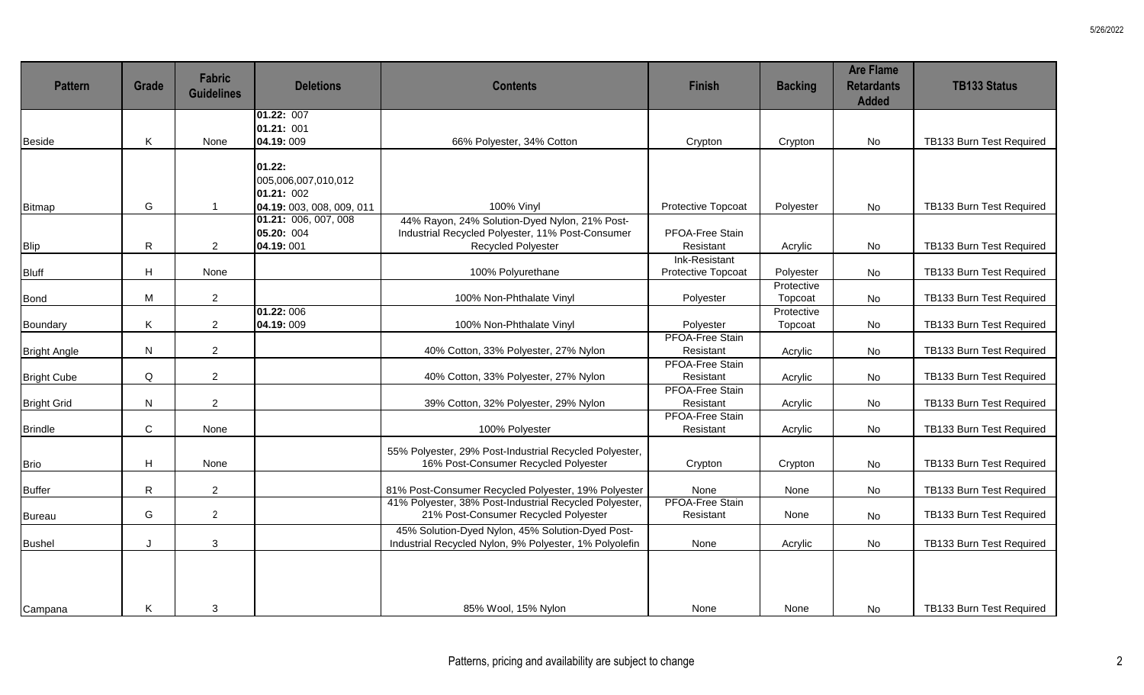| <b>Pattern</b>      | <b>Grade</b> | <b>Fabric</b><br><b>Guidelines</b> | <b>Deletions</b>                                | <b>Contents</b>                                                                                                                | <b>Finish</b>                       | <b>Backing</b>        | <b>Are Flame</b><br><b>Retardants</b><br><b>Added</b> | <b>TB133 Status</b>      |
|---------------------|--------------|------------------------------------|-------------------------------------------------|--------------------------------------------------------------------------------------------------------------------------------|-------------------------------------|-----------------------|-------------------------------------------------------|--------------------------|
|                     |              |                                    | 01.22: 007                                      |                                                                                                                                |                                     |                       |                                                       |                          |
|                     |              |                                    | 01.21: 001                                      |                                                                                                                                |                                     |                       |                                                       |                          |
| Beside              | K            | None                               | 04.19:009                                       | 66% Polyester, 34% Cotton                                                                                                      | Crypton                             | Crypton               | No                                                    | TB133 Burn Test Required |
|                     |              |                                    | 01.22:<br>005,006,007,010,012<br>01.21: 002     |                                                                                                                                |                                     |                       |                                                       |                          |
| Bitmap              | G            |                                    | 04.19: 003, 008, 009, 011                       | <b>100% Vinyl</b>                                                                                                              | <b>Protective Topcoat</b>           | Polyester             | No                                                    | TB133 Burn Test Required |
| Blip                | ${\sf R}$    | $\overline{2}$                     | 01.21: 006, 007, 008<br>05.20: 004<br>04.19:001 | 44% Rayon, 24% Solution-Dyed Nylon, 21% Post-<br>Industrial Recycled Polyester, 11% Post-Consumer<br><b>Recycled Polyester</b> | PFOA-Free Stain<br>Resistant        | Acrylic               | No                                                    | TB133 Burn Test Required |
|                     |              |                                    |                                                 |                                                                                                                                | Ink-Resistant                       |                       |                                                       |                          |
| Bluff               | H            | None                               |                                                 | 100% Polyurethane                                                                                                              | Protective Topcoat                  | Polyester             | No                                                    | TB133 Burn Test Required |
| <b>Bond</b>         | M            | $\overline{a}$                     |                                                 | 100% Non-Phthalate Vinyl                                                                                                       | Polyester                           | Protective<br>Topcoat | No                                                    | TB133 Burn Test Required |
|                     |              |                                    | 01.22:006                                       |                                                                                                                                |                                     | Protective            |                                                       |                          |
| Boundary            | Κ            | $\overline{2}$                     | 04.19:009                                       | 100% Non-Phthalate Vinyl                                                                                                       | Polyester                           | Topcoat               | No                                                    | TB133 Burn Test Required |
| <b>Bright Angle</b> | N            | $\overline{a}$                     |                                                 | 40% Cotton, 33% Polyester, 27% Nylon                                                                                           | PFOA-Free Stain<br>Resistant        | Acrylic               | No                                                    | TB133 Burn Test Required |
| <b>Bright Cube</b>  | Q            | $\overline{2}$                     |                                                 | 40% Cotton, 33% Polyester, 27% Nylon                                                                                           | <b>PFOA-Free Stain</b><br>Resistant | Acrylic               | No                                                    | TB133 Burn Test Required |
| <b>Bright Grid</b>  | N            | $\overline{2}$                     |                                                 | 39% Cotton, 32% Polyester, 29% Nylon                                                                                           | <b>PFOA-Free Stain</b><br>Resistant | Acrylic               | No                                                    | TB133 Burn Test Required |
| <b>Brindle</b>      | $\mathsf{C}$ | None                               |                                                 | 100% Polyester                                                                                                                 | <b>PFOA-Free Stain</b><br>Resistant | Acrylic               | No                                                    | TB133 Burn Test Required |
| <b>Brio</b>         | H            | None                               |                                                 | 55% Polyester, 29% Post-Industrial Recycled Polyester,<br>16% Post-Consumer Recycled Polyester                                 | Crypton                             | Crypton               | No                                                    | TB133 Burn Test Required |
| <b>Buffer</b>       | $\mathsf{R}$ | $\overline{a}$                     |                                                 | 81% Post-Consumer Recycled Polyester, 19% Polyester                                                                            | None                                | None                  | No                                                    | TB133 Burn Test Required |
| Bureau              | G            | $\overline{2}$                     |                                                 | 41% Polyester, 38% Post-Industrial Recycled Polyester,<br>21% Post-Consumer Recycled Polyester                                 | PFOA-Free Stain<br>Resistant        | None                  | <b>No</b>                                             | TB133 Burn Test Required |
| Bushel              | $\mathsf J$  | $\mathbf{3}$                       |                                                 | 45% Solution-Dyed Nylon, 45% Solution-Dyed Post-<br>Industrial Recycled Nylon, 9% Polyester, 1% Polyolefin                     | None                                | Acrylic               | No                                                    | TB133 Burn Test Required |
| Campana             | K            | 3                                  |                                                 | 85% Wool, 15% Nylon                                                                                                            | None                                | None                  | No                                                    | TB133 Burn Test Required |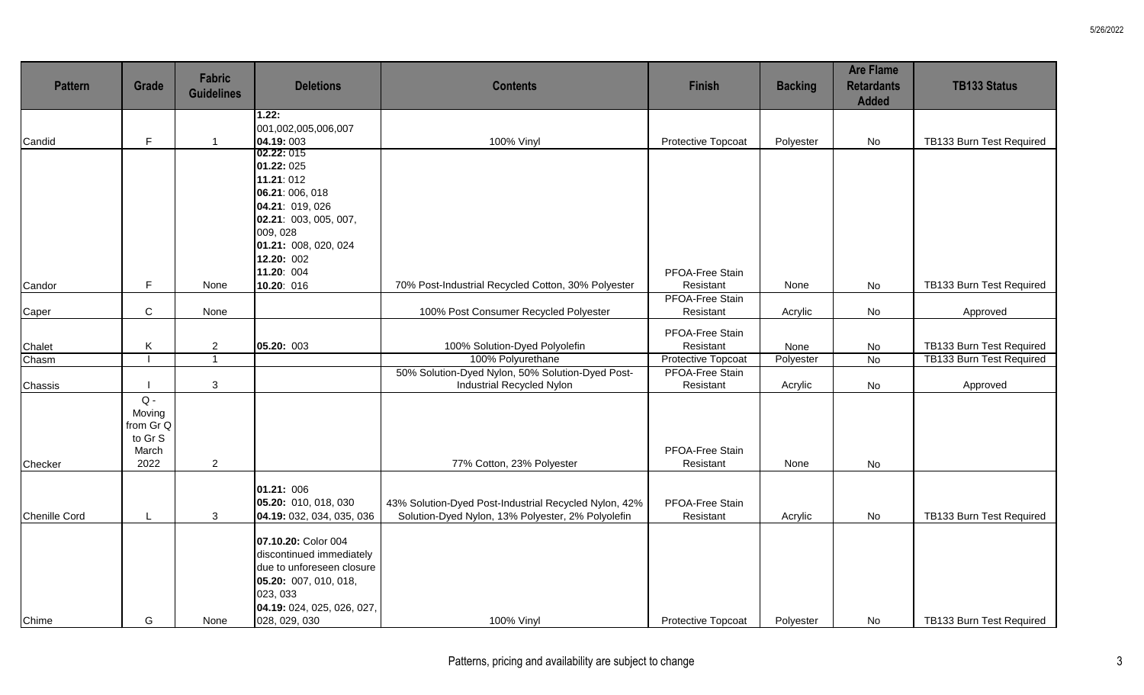| <b>Pattern</b> | Grade                                            | Fabric<br><b>Guidelines</b> | <b>Deletions</b>                                                                                                                                                 | <b>Contents</b>                                                                                            | <b>Finish</b>                | <b>Backing</b> | <b>Are Flame</b><br><b>Retardants</b><br><b>Added</b> | <b>TB133 Status</b>      |
|----------------|--------------------------------------------------|-----------------------------|------------------------------------------------------------------------------------------------------------------------------------------------------------------|------------------------------------------------------------------------------------------------------------|------------------------------|----------------|-------------------------------------------------------|--------------------------|
|                |                                                  |                             | 1.22:                                                                                                                                                            |                                                                                                            |                              |                |                                                       |                          |
| Candid         | F.                                               |                             | 001,002,005,006,007<br>04.19:003                                                                                                                                 | <b>100% Vinyl</b>                                                                                          | Protective Topcoat           | Polyester      | No                                                    | TB133 Burn Test Required |
|                |                                                  |                             | 02.22: 015                                                                                                                                                       |                                                                                                            |                              |                |                                                       |                          |
|                |                                                  |                             | 01.22: 025                                                                                                                                                       |                                                                                                            |                              |                |                                                       |                          |
|                |                                                  |                             | 11.21:012                                                                                                                                                        |                                                                                                            |                              |                |                                                       |                          |
|                |                                                  |                             | 06.21: 006, 018                                                                                                                                                  |                                                                                                            |                              |                |                                                       |                          |
|                |                                                  |                             | 04.21: 019, 026                                                                                                                                                  |                                                                                                            |                              |                |                                                       |                          |
|                |                                                  |                             | 02.21: 003, 005, 007,                                                                                                                                            |                                                                                                            |                              |                |                                                       |                          |
|                |                                                  |                             | 009, 028                                                                                                                                                         |                                                                                                            |                              |                |                                                       |                          |
|                |                                                  |                             | 01.21: 008, 020, 024                                                                                                                                             |                                                                                                            |                              |                |                                                       |                          |
|                |                                                  |                             | 12.20: 002                                                                                                                                                       |                                                                                                            |                              |                |                                                       |                          |
|                |                                                  |                             | 11.20: 004                                                                                                                                                       |                                                                                                            | PFOA-Free Stain              |                |                                                       |                          |
| Candor         | F.                                               | None                        | 10.20: 016                                                                                                                                                       | 70% Post-Industrial Recycled Cotton, 30% Polyester                                                         | Resistant                    | None           | No                                                    | TB133 Burn Test Required |
|                | $\mathbf C$                                      | None                        |                                                                                                                                                                  | 100% Post Consumer Recycled Polyester                                                                      | PFOA-Free Stain<br>Resistant |                |                                                       |                          |
| Caper          |                                                  |                             |                                                                                                                                                                  |                                                                                                            |                              | Acrylic        | No                                                    | Approved                 |
|                |                                                  |                             |                                                                                                                                                                  |                                                                                                            | PFOA-Free Stain              |                |                                                       |                          |
| Chalet         | Κ                                                | $\overline{2}$              | 05.20: 003                                                                                                                                                       | 100% Solution-Dyed Polyolefin                                                                              | Resistant                    | None           | No                                                    | TB133 Burn Test Required |
| Chasm          |                                                  | $\overline{1}$              |                                                                                                                                                                  | 100% Polyurethane                                                                                          | <b>Protective Topcoat</b>    | Polyester      | N <sub>o</sub>                                        | TB133 Burn Test Required |
|                |                                                  |                             |                                                                                                                                                                  | 50% Solution-Dyed Nylon, 50% Solution-Dyed Post-                                                           | <b>PFOA-Free Stain</b>       |                |                                                       |                          |
| Chassis        |                                                  | $\mathbf{3}$                |                                                                                                                                                                  | Industrial Recycled Nylon                                                                                  | Resistant                    | Acrylic        | No                                                    | Approved                 |
|                | $Q -$<br>Moving<br>from Gr Q<br>to Gr S<br>March |                             |                                                                                                                                                                  |                                                                                                            | PFOA-Free Stain              |                |                                                       |                          |
| Checker        | 2022                                             | $\overline{2}$              |                                                                                                                                                                  | 77% Cotton, 23% Polyester                                                                                  | Resistant                    | None           | No                                                    |                          |
| Chenille Cord  | $\mathsf{L}$                                     | 3                           | 01.21: 006<br>05.20: 010, 018, 030<br>04.19: 032, 034, 035, 036                                                                                                  | 43% Solution-Dyed Post-Industrial Recycled Nylon, 42%<br>Solution-Dyed Nylon, 13% Polyester, 2% Polyolefin | PFOA-Free Stain<br>Resistant | Acrylic        | No                                                    | TB133 Burn Test Required |
|                |                                                  |                             |                                                                                                                                                                  |                                                                                                            |                              |                |                                                       |                          |
| Chime          | G                                                | None                        | 07.10.20: Color 004<br>discontinued immediately<br>due to unforeseen closure<br>05.20: 007, 010, 018,<br>023, 033<br>04.19: 024, 025, 026, 027,<br>028, 029, 030 | 100% Vinyl                                                                                                 | Protective Topcoat           | Polyester      | No                                                    | TB133 Burn Test Required |
|                |                                                  |                             |                                                                                                                                                                  |                                                                                                            |                              |                |                                                       |                          |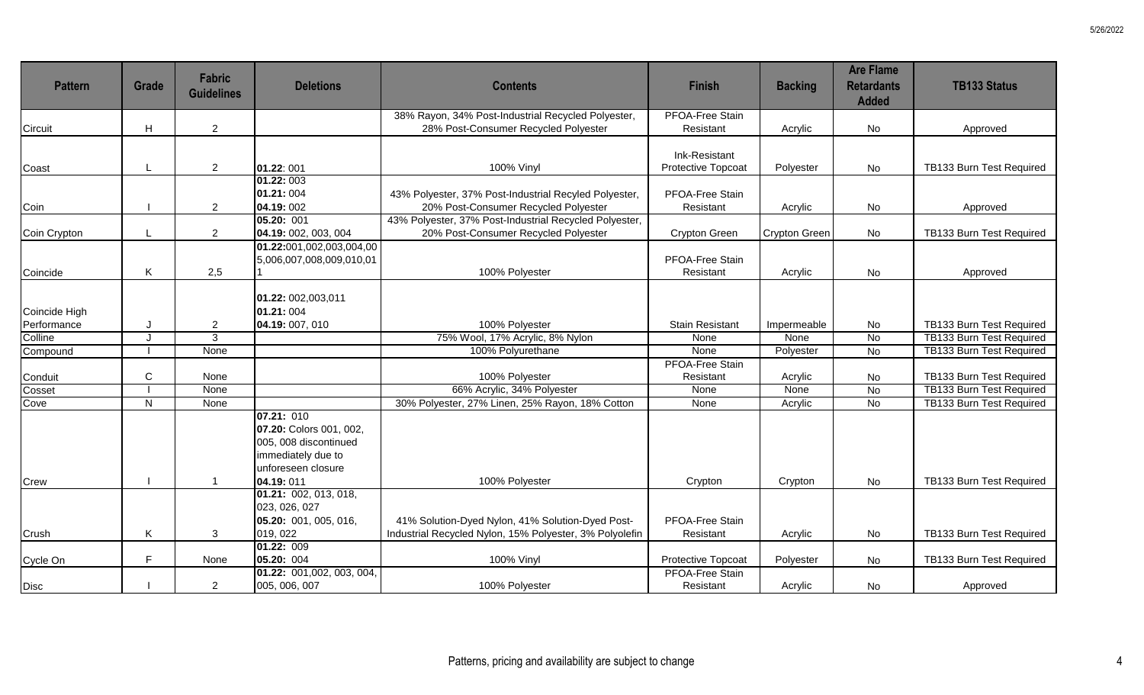| <b>Pattern</b> | <b>Grade</b> | <b>Fabric</b><br><b>Guidelines</b> | <b>Deletions</b>          | <b>Contents</b>                                                                            | <b>Finish</b>                       | <b>Backing</b> | <b>Are Flame</b><br><b>Retardants</b><br><b>Added</b> | <b>TB133 Status</b>             |
|----------------|--------------|------------------------------------|---------------------------|--------------------------------------------------------------------------------------------|-------------------------------------|----------------|-------------------------------------------------------|---------------------------------|
| Circuit        | H            | $\overline{2}$                     |                           | 38% Rayon, 34% Post-Industrial Recycled Polyester,<br>28% Post-Consumer Recycled Polyester | <b>PFOA-Free Stain</b><br>Resistant | Acrylic        | No                                                    | Approved                        |
|                |              |                                    |                           |                                                                                            |                                     |                |                                                       |                                 |
|                |              |                                    |                           |                                                                                            | Ink-Resistant                       |                |                                                       |                                 |
| Coast          |              | $\overline{2}$                     | 01.22:001                 | 100% Vinyl                                                                                 | Protective Topcoat                  | Polyester      | No                                                    | TB133 Burn Test Required        |
|                |              |                                    | 01.22: 003                |                                                                                            |                                     |                |                                                       |                                 |
|                |              |                                    | 01.21:004                 | 43% Polyester, 37% Post-Industrial Recyled Polyester,                                      | PFOA-Free Stain                     |                |                                                       |                                 |
| Coin           |              | $\overline{2}$                     | 04.19:002                 | 20% Post-Consumer Recycled Polyester                                                       | Resistant                           | Acrylic        | <b>No</b>                                             | Approved                        |
|                |              |                                    | 05.20: 001                | 43% Polyester, 37% Post-Industrial Recycled Polyester,                                     |                                     |                |                                                       |                                 |
| Coin Crypton   |              | $\overline{2}$                     | 04.19: 002, 003, 004      | 20% Post-Consumer Recycled Polyester                                                       | Crypton Green                       | Crypton Green  | No                                                    | TB133 Burn Test Required        |
|                |              |                                    | 01.22:001,002,003,004,00  |                                                                                            |                                     |                |                                                       |                                 |
| Coincide       | Κ            | 2,5                                | 5,006,007,008,009,010,01  | 100% Polyester                                                                             | PFOA-Free Stain<br>Resistant        | Acrylic        | <b>No</b>                                             | Approved                        |
|                |              |                                    |                           |                                                                                            |                                     |                |                                                       |                                 |
|                |              |                                    | 01.22: 002,003,011        |                                                                                            |                                     |                |                                                       |                                 |
| Coincide High  |              |                                    | 01.21:004                 |                                                                                            |                                     |                |                                                       |                                 |
| Performance    | J            | $\overline{2}$                     | 04.19: 007, 010           | 100% Polyester                                                                             | <b>Stain Resistant</b>              | Impermeable    | No                                                    | TB133 Burn Test Required        |
| Colline        | J            | $\overline{3}$                     |                           | 75% Wool, 17% Acrylic, 8% Nylon                                                            | None                                | None           | $\overline{N}$                                        | TB133 Burn Test Required        |
| Compound       |              | None                               |                           | 100% Polyurethane                                                                          | None                                | Polyester      | <b>No</b>                                             | TB133 Burn Test Required        |
|                |              |                                    |                           |                                                                                            | <b>PFOA-Free Stain</b>              |                |                                                       |                                 |
| Conduit        | $\mathsf C$  | None                               |                           | 100% Polyester                                                                             | Resistant                           | Acrylic        | No                                                    | TB133 Burn Test Required        |
| Cosset         |              | None                               |                           | 66% Acrylic, 34% Polyester                                                                 | None                                | None           | $\overline{N}$                                        | TB133 Burn Test Required        |
| Cove           | N.           | None                               |                           | 30% Polyester, 27% Linen, 25% Rayon, 18% Cotton                                            | None                                | Acrylic        | $\overline{N}$                                        | <b>TB133 Burn Test Required</b> |
|                |              |                                    | 07.21: 010                |                                                                                            |                                     |                |                                                       |                                 |
|                |              |                                    | 07.20: Colors 001, 002,   |                                                                                            |                                     |                |                                                       |                                 |
|                |              |                                    | 005, 008 discontinued     |                                                                                            |                                     |                |                                                       |                                 |
|                |              |                                    | immediately due to        |                                                                                            |                                     |                |                                                       |                                 |
|                |              |                                    | unforeseen closure        |                                                                                            |                                     |                |                                                       |                                 |
| Crew           |              |                                    | 04.19:011                 | 100% Polyester                                                                             | Crypton                             | Crypton        | <b>No</b>                                             | TB133 Burn Test Required        |
|                |              |                                    | [01.21: 002, 013, 018,    |                                                                                            |                                     |                |                                                       |                                 |
|                |              |                                    | 023, 026, 027             |                                                                                            |                                     |                |                                                       |                                 |
|                |              |                                    | 05.20: 001, 005, 016,     | 41% Solution-Dyed Nylon, 41% Solution-Dyed Post-                                           | PFOA-Free Stain                     |                |                                                       |                                 |
| Crush          | K            | 3                                  | 019, 022                  | Industrial Recycled Nylon, 15% Polyester, 3% Polyolefin                                    | Resistant                           | Acrylic        | No                                                    | TB133 Burn Test Required        |
|                |              |                                    | 01.22:009                 |                                                                                            |                                     |                |                                                       |                                 |
| Cycle On       | F            | None                               | 05.20: 004                | 100% Vinyl                                                                                 | Protective Topcoat                  | Polyester      | No                                                    | TB133 Burn Test Required        |
|                |              |                                    | 01.22: 001,002, 003, 004, |                                                                                            | <b>PFOA-Free Stain</b>              |                |                                                       |                                 |
| <b>Disc</b>    |              | $\overline{2}$                     | 005, 006, 007             | 100% Polyester                                                                             | Resistant                           | Acrylic        | No                                                    | Approved                        |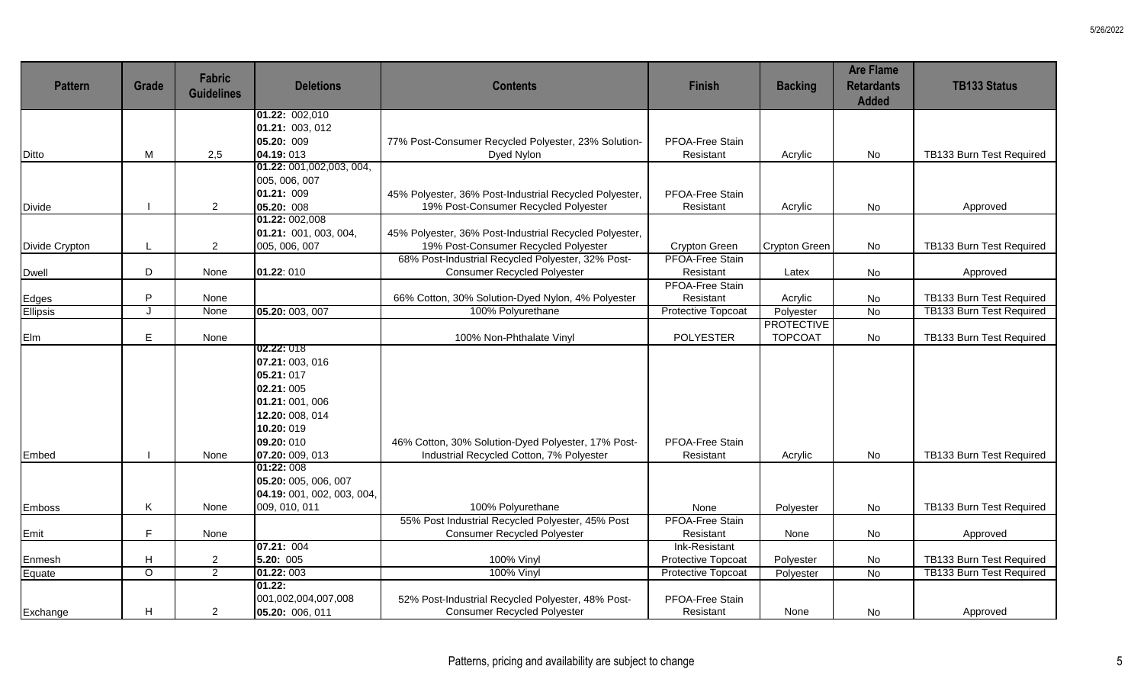| <b>Pattern</b> | <b>Grade</b>              | <b>Fabric</b><br><b>Guidelines</b> | <b>Deletions</b>                                                                                                        | <b>Contents</b>                                        | <b>Finish</b>          | <b>Backing</b>       | <b>Are Flame</b><br><b>Retardants</b><br><b>Added</b> | <b>TB133 Status</b>      |
|----------------|---------------------------|------------------------------------|-------------------------------------------------------------------------------------------------------------------------|--------------------------------------------------------|------------------------|----------------------|-------------------------------------------------------|--------------------------|
|                |                           |                                    | 01.22: 002,010                                                                                                          |                                                        |                        |                      |                                                       |                          |
|                |                           |                                    | 01.21: 003, 012                                                                                                         |                                                        |                        |                      |                                                       |                          |
|                |                           |                                    | 05.20: 009                                                                                                              | 77% Post-Consumer Recycled Polyester, 23% Solution-    | PFOA-Free Stain        |                      |                                                       |                          |
| Ditto          | M                         | 2,5                                | 04.19:013<br>01.22: 001,002,003, 004,                                                                                   | Dyed Nylon                                             | Resistant              | Acrylic              | No                                                    | TB133 Burn Test Required |
|                |                           |                                    | 005, 006, 007                                                                                                           |                                                        |                        |                      |                                                       |                          |
|                |                           |                                    | 01.21: 009                                                                                                              | 45% Polyester, 36% Post-Industrial Recycled Polyester, | PFOA-Free Stain        |                      |                                                       |                          |
| Divide         |                           | $\overline{2}$                     | 05.20: 008                                                                                                              | 19% Post-Consumer Recycled Polyester                   | Resistant              | Acrylic              | No                                                    | Approved                 |
|                |                           |                                    | 01.22: 002,008                                                                                                          |                                                        |                        |                      |                                                       |                          |
|                |                           |                                    | 01.21: 001, 003, 004,                                                                                                   | 45% Polyester, 36% Post-Industrial Recycled Polyester, |                        |                      |                                                       |                          |
| Divide Crypton | L                         | $\overline{2}$                     | 005, 006, 007                                                                                                           | 19% Post-Consumer Recycled Polyester                   | Crypton Green          | <b>Crypton Green</b> | No                                                    | TB133 Burn Test Required |
|                |                           |                                    |                                                                                                                         | 68% Post-Industrial Recycled Polyester, 32% Post-      | <b>PFOA-Free Stain</b> |                      |                                                       |                          |
| Dwell          | D                         | None                               | 01.22:010                                                                                                               | <b>Consumer Recycled Polyester</b>                     | Resistant              | Latex                | No                                                    | Approved                 |
|                |                           |                                    |                                                                                                                         |                                                        | <b>PFOA-Free Stain</b> |                      |                                                       |                          |
| Edges          | P                         | None                               |                                                                                                                         | 66% Cotton, 30% Solution-Dyed Nylon, 4% Polyester      | Resistant              | Acrylic              | No                                                    | TB133 Burn Test Required |
| Ellipsis       | $\cdot$                   | None                               | 05.20: 003, 007                                                                                                         | 100% Polyurethane                                      | Protective Topcoat     | Polyester            | No                                                    | TB133 Burn Test Required |
|                |                           |                                    |                                                                                                                         |                                                        |                        | <b>PROTECTIVE</b>    |                                                       |                          |
| Elm            | E                         | None                               |                                                                                                                         | 100% Non-Phthalate Vinyl                               | <b>POLYESTER</b>       | <b>TOPCOAT</b>       | No                                                    | TB133 Burn Test Required |
|                |                           |                                    | 02.22: 018<br>07.21: 003, 016<br>05.21:017<br>02.21:005<br>01.21:001,006<br>12.20: 008, 014<br>10.20: 019<br>09.20: 010 | 46% Cotton, 30% Solution-Dyed Polyester, 17% Post-     | PFOA-Free Stain        |                      |                                                       |                          |
| Embed          |                           | None                               | 07.20: 009, 013                                                                                                         | Industrial Recycled Cotton, 7% Polyester               | Resistant              | Acrylic              | <b>No</b>                                             | TB133 Burn Test Required |
|                |                           |                                    | 01:22: 008<br>05.20: 005, 006, 007<br>04.19: 001, 002, 003, 004,                                                        |                                                        |                        |                      |                                                       |                          |
| Emboss         | K                         | None                               | 009, 010, 011                                                                                                           | 100% Polyurethane                                      | None                   | Polyester            | No                                                    | TB133 Burn Test Required |
|                |                           |                                    |                                                                                                                         | 55% Post Industrial Recycled Polyester, 45% Post       | PFOA-Free Stain        |                      |                                                       |                          |
| Emit           | F.                        | None                               |                                                                                                                         | <b>Consumer Recycled Polyester</b>                     | Resistant              | None                 | No                                                    | Approved                 |
|                |                           |                                    | 07.21: 004                                                                                                              |                                                        | Ink-Resistant          |                      |                                                       |                          |
| Enmesh         | $\boldsymbol{\mathsf{H}}$ | $\overline{2}$                     | 5.20: 005                                                                                                               | <b>100% Vinyl</b>                                      | Protective Topcoat     | Polyester            | No                                                    | TB133 Burn Test Required |
| Equate         | $\circ$                   | $\overline{2}$                     | 01.22: 003<br>01.22:                                                                                                    | 100% Vinyl                                             | Protective Topcoat     | Polyester            | No                                                    | TB133 Burn Test Required |
|                |                           |                                    | 001,002,004,007,008                                                                                                     | 52% Post-Industrial Recycled Polyester, 48% Post-      | PFOA-Free Stain        |                      |                                                       |                          |
| Exchange       | H                         | $\overline{2}$                     | 05.20: 006, 011                                                                                                         | <b>Consumer Recycled Polyester</b>                     | Resistant              | None                 | No                                                    | Approved                 |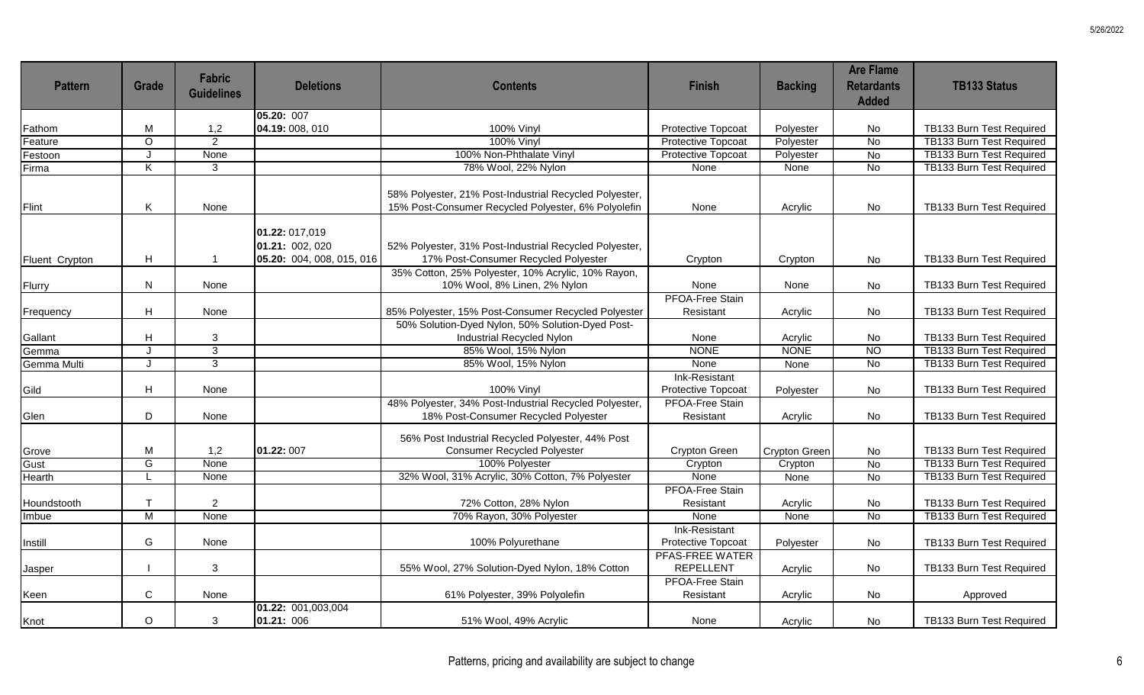| <b>Pattern</b> | Grade                     | <b>Fabric</b><br><b>Guidelines</b> | <b>Deletions</b>                                               | <b>Contents</b>                                                                                               | <b>Finish</b>                              | <b>Backing</b> | <b>Are Flame</b><br><b>Retardants</b><br><b>Added</b> | <b>TB133 Status</b>             |
|----------------|---------------------------|------------------------------------|----------------------------------------------------------------|---------------------------------------------------------------------------------------------------------------|--------------------------------------------|----------------|-------------------------------------------------------|---------------------------------|
|                |                           |                                    | 05.20: 007                                                     |                                                                                                               |                                            |                |                                                       |                                 |
| Fathom         | M                         | 1,2                                | 04.19: 008, 010                                                | 100% Vinyl                                                                                                    | Protective Topcoat                         | Polyester      | No                                                    | TB133 Burn Test Required        |
| Feature        | $\overline{O}$            | $\overline{2}$                     |                                                                | 100% Vinyl                                                                                                    | <b>Protective Topcoat</b>                  | Polyester      | $\overline{N}$                                        | TB133 Burn Test Required        |
| Festoon        | J                         | None                               |                                                                | 100% Non-Phthalate Vinyl                                                                                      | <b>Protective Topcoat</b>                  | Polyester      | <b>No</b>                                             | TB133 Burn Test Required        |
| Firma          | $\overline{\mathsf{K}}$   | 3                                  |                                                                | 78% Wool, 22% Nylon                                                                                           | None                                       | None           | <b>No</b>                                             | <b>TB133 Burn Test Required</b> |
| Flint          | Κ                         | None                               |                                                                | 58% Polyester, 21% Post-Industrial Recycled Polyester,<br>15% Post-Consumer Recycled Polyester, 6% Polyolefin | None                                       | Acrylic        | No                                                    | TB133 Burn Test Required        |
| Fluent Crypton | H                         |                                    | 01.22: 017,019<br>01.21: 002, 020<br>05.20: 004, 008, 015, 016 | 52% Polyester, 31% Post-Industrial Recycled Polyester,<br>17% Post-Consumer Recycled Polyester                | Crypton                                    | Crypton        | No                                                    | TB133 Burn Test Required        |
| Flurry         | N                         | None                               |                                                                | 35% Cotton, 25% Polyester, 10% Acrylic, 10% Rayon,<br>10% Wool, 8% Linen, 2% Nylon                            | None                                       | None           | No                                                    | TB133 Burn Test Required        |
|                |                           |                                    |                                                                |                                                                                                               | <b>PFOA-Free Stain</b>                     |                |                                                       |                                 |
| Frequency      | H                         | None                               |                                                                | 85% Polyester, 15% Post-Consumer Recycled Polyester                                                           | Resistant                                  | Acrylic        | <b>No</b>                                             | TB133 Burn Test Required        |
|                |                           |                                    |                                                                | 50% Solution-Dyed Nylon, 50% Solution-Dyed Post-                                                              |                                            |                |                                                       |                                 |
| Gallant        | $\boldsymbol{\mathsf{H}}$ | 3                                  |                                                                | Industrial Recycled Nylon                                                                                     | None                                       | Acrylic        | No                                                    | TB133 Burn Test Required        |
| Gemma          | J                         | $\overline{3}$                     |                                                                | 85% Wool, 15% Nylon                                                                                           | <b>NONE</b>                                | <b>NONE</b>    | <b>NO</b>                                             | TB133 Burn Test Required        |
| Gemma Multi    | $\mathbf{J}$              | $\overline{3}$                     |                                                                | 85% Wool, 15% Nylon                                                                                           | None                                       | None           | <b>No</b>                                             | TB133 Burn Test Required        |
| Gild           | H                         | None                               |                                                                | 100% Vinyl                                                                                                    | Ink-Resistant<br>Protective Topcoat        | Polyester      | No                                                    | TB133 Burn Test Required        |
| Glen           | $\mathsf D$               | None                               |                                                                | 48% Polyester, 34% Post-Industrial Recycled Polyester,<br>18% Post-Consumer Recycled Polyester                | <b>PFOA-Free Stain</b><br>Resistant        | Acrylic        | No                                                    | TB133 Burn Test Required        |
| Grove          | M                         | 1,2                                | 01.22: 007                                                     | 56% Post Industrial Recycled Polyester, 44% Post<br><b>Consumer Recycled Polyester</b>                        | Crypton Green                              | Crypton Green  | No                                                    | TB133 Burn Test Required        |
| Gust           | $\overline{G}$            | None                               |                                                                | 100% Polyester                                                                                                | Crypton                                    | Crypton        | <b>No</b>                                             | TB133 Burn Test Required        |
| Hearth         | $\mathsf{L}$              | None                               |                                                                | 32% Wool, 31% Acrylic, 30% Cotton, 7% Polyester                                                               | None                                       | None           | <b>No</b>                                             | <b>TB133 Burn Test Required</b> |
| Houndstooth    | $\mathsf{T}$              | $\overline{2}$                     |                                                                | 72% Cotton, 28% Nylon                                                                                         | PFOA-Free Stain<br>Resistant               | Acrylic        | No                                                    | TB133 Burn Test Required        |
| Imbue          | M                         | None                               |                                                                | 70% Rayon, 30% Polyester                                                                                      | None                                       | None           | $\overline{N}$                                        | TB133 Burn Test Required        |
|                |                           |                                    |                                                                |                                                                                                               | Ink-Resistant                              |                |                                                       |                                 |
| Instill        | G                         | None                               |                                                                | 100% Polyurethane                                                                                             | Protective Topcoat                         | Polyester      | <b>No</b>                                             | TB133 Burn Test Required        |
| Jasper         |                           | 3                                  |                                                                | 55% Wool, 27% Solution-Dyed Nylon, 18% Cotton                                                                 | <b>PFAS-FREE WATER</b><br><b>REPELLENT</b> | Acrylic        | No                                                    | TB133 Burn Test Required        |
| Keen           | $\mathbf C$               | None                               | 01.22: 001,003,004                                             | 61% Polyester, 39% Polyolefin                                                                                 | PFOA-Free Stain<br>Resistant               | Acrylic        | <b>No</b>                                             | Approved                        |
| Knot           | $\circ$                   | 3                                  | 01.21: 006                                                     | 51% Wool, 49% Acrylic                                                                                         | None                                       | Acrylic        | No                                                    | TB133 Burn Test Required        |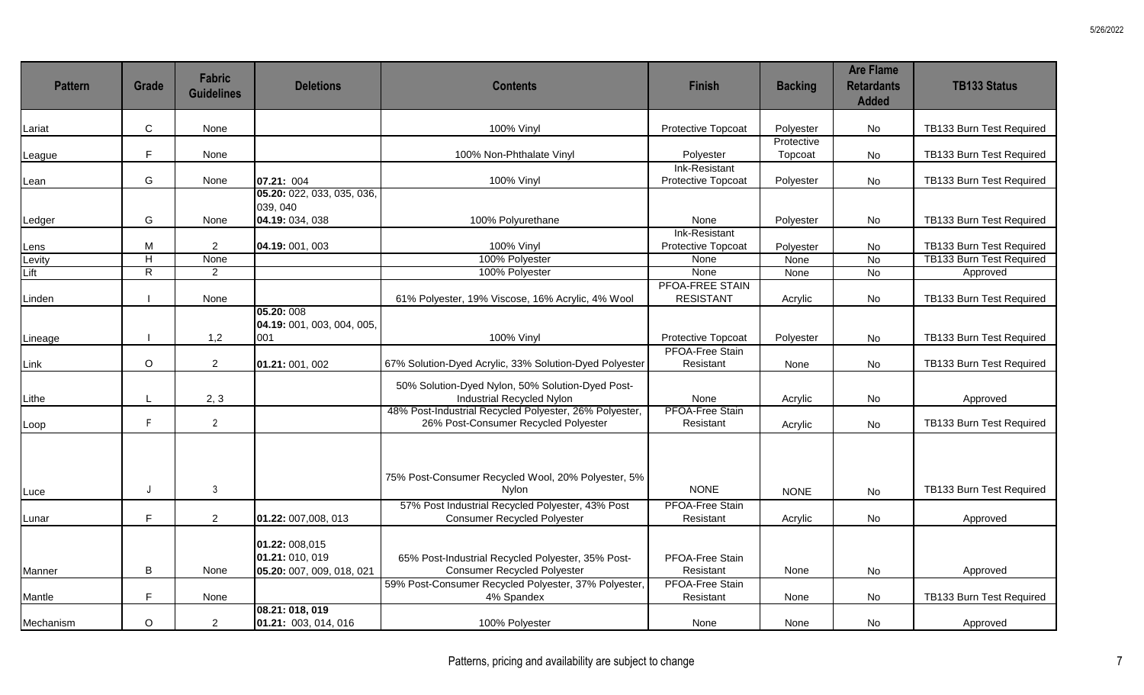| <b>Pattern</b> | <b>Grade</b>            | <b>Fabric</b><br><b>Guidelines</b> | <b>Deletions</b>                                               | <b>Contents</b>                                                                                | <b>Finish</b>                       | <b>Backing</b>        | <b>Are Flame</b><br><b>Retardants</b><br><b>Added</b> | <b>TB133 Status</b>             |
|----------------|-------------------------|------------------------------------|----------------------------------------------------------------|------------------------------------------------------------------------------------------------|-------------------------------------|-----------------------|-------------------------------------------------------|---------------------------------|
| Lariat         | $\mathbf C$             | None                               |                                                                | 100% Vinyl                                                                                     | Protective Topcoat                  | Polyester             | No                                                    | TB133 Burn Test Required        |
| League         | F                       | None                               |                                                                | 100% Non-Phthalate Vinyl                                                                       | Polyester                           | Protective<br>Topcoat | No                                                    | TB133 Burn Test Required        |
| Lean           | G                       | None                               | 07.21: 004                                                     | 100% Vinyl                                                                                     | Ink-Resistant<br>Protective Topcoat | Polyester             | No                                                    | TB133 Burn Test Required        |
|                |                         |                                    | 05.20: 022, 033, 035, 036,<br>039, 040                         |                                                                                                |                                     |                       |                                                       |                                 |
| Ledger         | G                       | None                               | 04.19: 034, 038                                                | 100% Polyurethane                                                                              | None                                | Polyester             | <b>No</b>                                             | TB133 Burn Test Required        |
| Lens           | M                       | $\overline{2}$                     | 04.19: 001, 003                                                | 100% Vinyl                                                                                     | Ink-Resistant<br>Protective Topcoat | Polyester             | No                                                    | TB133 Burn Test Required        |
| Levity         | $\overline{\mathsf{H}}$ | None                               |                                                                | 100% Polyester                                                                                 | None                                | None                  | <b>No</b>                                             | <b>TB133 Burn Test Required</b> |
| Lift           | $\overline{R}$          | $\overline{2}$                     |                                                                | 100% Polyester                                                                                 | None                                | None                  | <b>No</b>                                             | Approved                        |
| Linden         |                         | None                               |                                                                | 61% Polyester, 19% Viscose, 16% Acrylic, 4% Wool                                               | PFOA-FREE STAIN<br><b>RESISTANT</b> | Acrylic               | <b>No</b>                                             | TB133 Burn Test Required        |
| Lineage        |                         | 1,2                                | 05.20: 008<br>04.19: 001, 003, 004, 005,<br>001                | 100% Vinyl                                                                                     | Protective Topcoat                  | Polyester             | No                                                    | TB133 Burn Test Required        |
|                |                         |                                    |                                                                |                                                                                                | PFOA-Free Stain                     |                       |                                                       |                                 |
| Link           | $\circ$                 | $\overline{2}$                     | 01.21: 001, 002                                                | 67% Solution-Dyed Acrylic, 33% Solution-Dyed Polyester                                         | Resistant                           | None                  | No                                                    | TB133 Burn Test Required        |
| Lithe          |                         | 2, 3                               |                                                                | 50% Solution-Dyed Nylon, 50% Solution-Dyed Post-<br><b>Industrial Recycled Nylon</b>           | None                                | Acrylic               | No                                                    | Approved                        |
| Loop           | $\mathsf{F}$            | $2^{\circ}$                        |                                                                | 48% Post-Industrial Recycled Polyester, 26% Polyester,<br>26% Post-Consumer Recycled Polyester | <b>PFOA-Free Stain</b><br>Resistant | Acrylic               | No                                                    | TB133 Burn Test Required        |
| Luce           | $\mathsf{J}$            | 3                                  |                                                                | 75% Post-Consumer Recycled Wool, 20% Polyester, 5%<br>Nylon                                    | <b>NONE</b>                         | <b>NONE</b>           | <b>No</b>                                             | TB133 Burn Test Required        |
| Lunar          | F.                      | $\overline{2}$                     | 01.22: 007,008, 013                                            | 57% Post Industrial Recycled Polyester, 43% Post<br><b>Consumer Recycled Polyester</b>         | PFOA-Free Stain<br>Resistant        | Acrylic               | No                                                    | Approved                        |
| Manner         | B                       | None                               | 01.22: 008,015<br>01.21: 010, 019<br>05.20: 007, 009, 018, 021 | 65% Post-Industrial Recycled Polyester, 35% Post-<br><b>Consumer Recycled Polyester</b>        | PFOA-Free Stain<br>Resistant        | None                  | No                                                    | Approved                        |
| Mantle         | F                       | None                               |                                                                | 59% Post-Consumer Recycled Polyester, 37% Polyester,<br>4% Spandex                             | PFOA-Free Stain<br>Resistant        | None                  | No                                                    | TB133 Burn Test Required        |
| Mechanism      | $\circ$                 | $\overline{2}$                     | 08.21: 018, 019<br>01.21: 003, 014, 016                        | 100% Polyester                                                                                 | None                                | None                  | No                                                    | Approved                        |

5/26/2022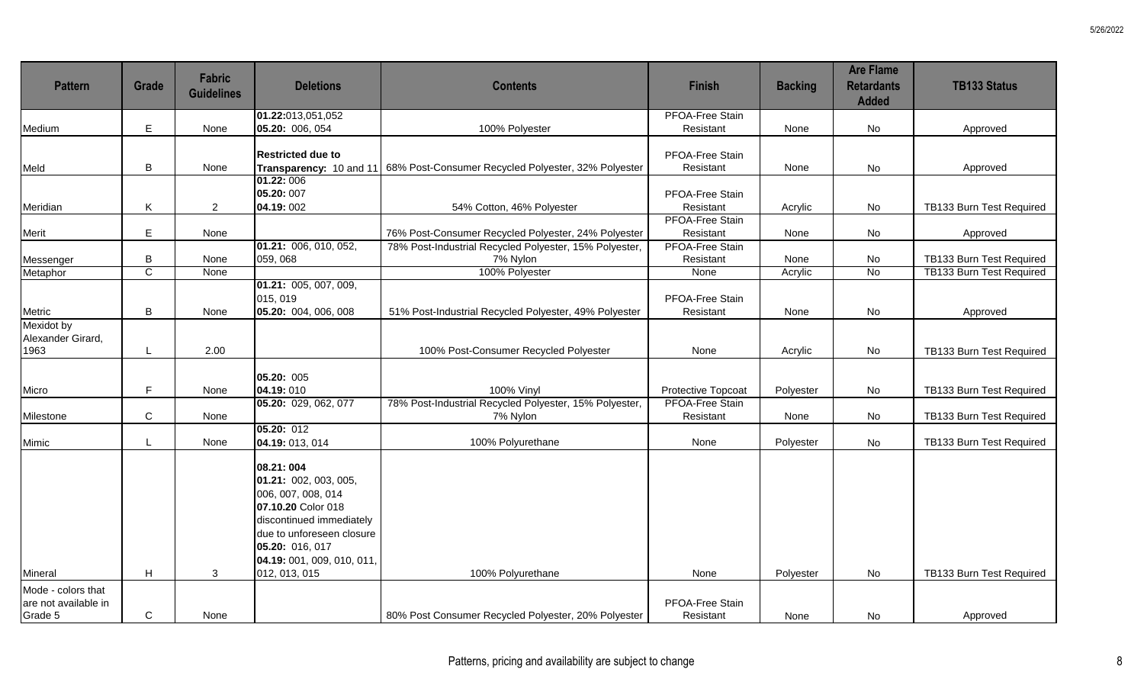| <b>Pattern</b>                                        | <b>Grade</b>   | <b>Fabric</b><br><b>Guidelines</b> | <b>Deletions</b>                                                                                                                                                                          | <b>Contents</b>                                                             | <b>Finish</b>                | <b>Backing</b> | <b>Are Flame</b><br><b>Retardants</b><br><b>Added</b> | <b>TB133 Status</b>             |
|-------------------------------------------------------|----------------|------------------------------------|-------------------------------------------------------------------------------------------------------------------------------------------------------------------------------------------|-----------------------------------------------------------------------------|------------------------------|----------------|-------------------------------------------------------|---------------------------------|
|                                                       |                |                                    | 01.22:013,051,052                                                                                                                                                                         |                                                                             | <b>PFOA-Free Stain</b>       |                |                                                       |                                 |
| Medium                                                | E              | None                               | 05.20: 006, 054                                                                                                                                                                           | 100% Polyester                                                              | Resistant                    | None           | No                                                    | Approved                        |
| Meld                                                  | B              | None                               | <b>Restricted due to</b>                                                                                                                                                                  | Transparency: 10 and 11 68% Post-Consumer Recycled Polyester, 32% Polyester | PFOA-Free Stain<br>Resistant | None           | No                                                    | Approved                        |
|                                                       |                |                                    | 01.22:006                                                                                                                                                                                 |                                                                             |                              |                |                                                       |                                 |
|                                                       |                |                                    | 05.20: 007                                                                                                                                                                                |                                                                             | PFOA-Free Stain              |                |                                                       |                                 |
| Meridian                                              | Κ              | $\overline{2}$                     | 04.19:002                                                                                                                                                                                 | 54% Cotton, 46% Polyester                                                   | Resistant                    | Acrylic        | <b>No</b>                                             | TB133 Burn Test Required        |
|                                                       |                |                                    |                                                                                                                                                                                           |                                                                             | <b>PFOA-Free Stain</b>       |                |                                                       |                                 |
| Merit                                                 | E              | None                               |                                                                                                                                                                                           | 76% Post-Consumer Recycled Polyester, 24% Polyester                         | Resistant                    | None           | No                                                    | Approved                        |
|                                                       |                |                                    | [01.21: 006, 010, 052]                                                                                                                                                                    | 78% Post-Industrial Recycled Polyester, 15% Polyester,                      | <b>PFOA-Free Stain</b>       |                |                                                       |                                 |
| Messenger                                             | $\mathsf B$    | None                               | 059,068                                                                                                                                                                                   | 7% Nylon                                                                    | Resistant                    | None           | No                                                    | TB133 Burn Test Required        |
| Metaphor                                              | $\overline{C}$ | None                               |                                                                                                                                                                                           | 100% Polyester                                                              | None                         | Acrylic        | No                                                    | <b>TB133 Burn Test Required</b> |
|                                                       |                |                                    | 01.21: 005, 007, 009,<br>015, 019                                                                                                                                                         |                                                                             | PFOA-Free Stain              |                |                                                       |                                 |
| Metric                                                | B              | None                               | 05.20: 004, 006, 008                                                                                                                                                                      | 51% Post-Industrial Recycled Polyester, 49% Polyester                       | Resistant                    | None           | No                                                    | Approved                        |
| Mexidot by<br>Alexander Girard,                       |                |                                    |                                                                                                                                                                                           |                                                                             |                              |                |                                                       |                                 |
| 1963                                                  | L              | 2.00                               |                                                                                                                                                                                           | 100% Post-Consumer Recycled Polyester                                       | None                         | Acrylic        | No                                                    | TB133 Burn Test Required        |
| Micro                                                 | F.             | None                               | 05.20: 005<br>04.19:010                                                                                                                                                                   | <b>100% Vinyl</b>                                                           | Protective Topcoat           | Polyester      | No                                                    | TB133 Burn Test Required        |
|                                                       |                |                                    | 05.20: 029, 062, 077                                                                                                                                                                      | 78% Post-Industrial Recycled Polyester, 15% Polyester,                      | <b>PFOA-Free Stain</b>       |                |                                                       |                                 |
| Milestone                                             | C              | None                               |                                                                                                                                                                                           | 7% Nylon                                                                    | Resistant                    | None           | No                                                    | TB133 Burn Test Required        |
|                                                       |                |                                    | 05.20: 012                                                                                                                                                                                |                                                                             |                              |                |                                                       |                                 |
| Mimic                                                 | L              | None                               | 04.19: 013, 014                                                                                                                                                                           | 100% Polyurethane                                                           | None                         | Polyester      | No                                                    | TB133 Burn Test Required        |
|                                                       |                |                                    | 08.21:004<br>[01.21: 002, 003, 005,<br>006, 007, 008, 014<br>07.10.20 Color 018<br>discontinued immediately<br>due to unforeseen closure<br>05.20: 016, 017<br>04.19: 001, 009, 010, 011, |                                                                             |                              |                |                                                       |                                 |
| Mineral                                               | H              | 3                                  | 012, 013, 015                                                                                                                                                                             | 100% Polyurethane                                                           | None                         | Polyester      | No                                                    | TB133 Burn Test Required        |
| Mode - colors that<br>are not available in<br>Grade 5 | $\mathsf C$    | None                               |                                                                                                                                                                                           | 80% Post Consumer Recycled Polyester, 20% Polyester                         | PFOA-Free Stain<br>Resistant | None           | No                                                    | Approved                        |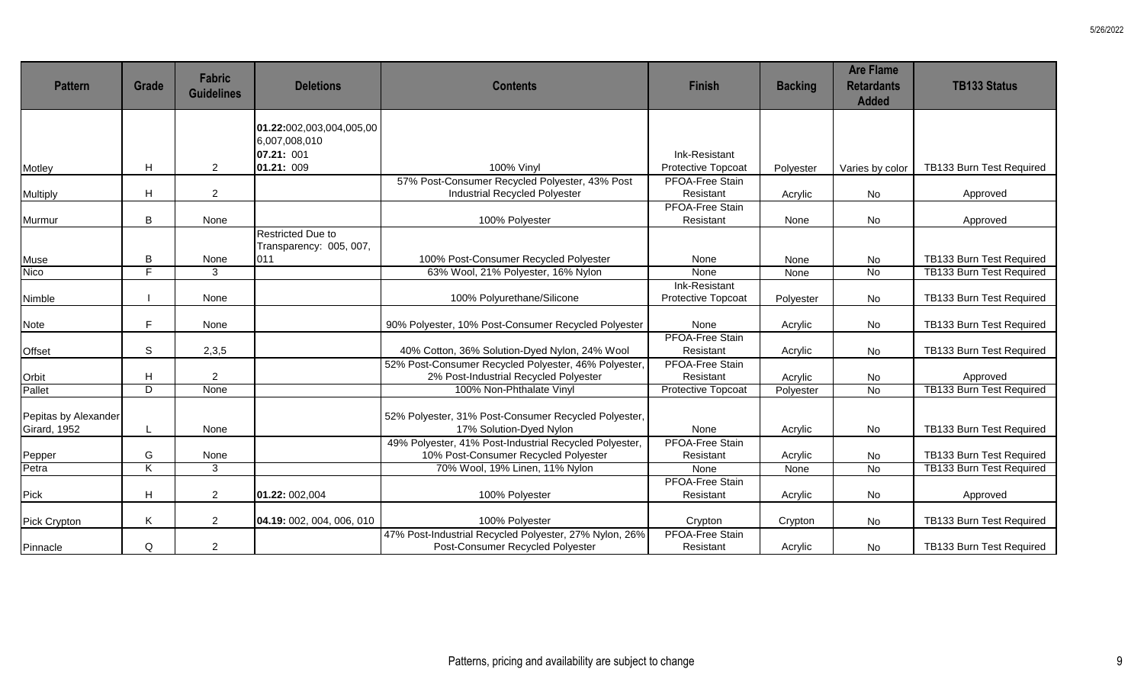| <b>Pattern</b>                       | Grade                     | Fabric<br><b>Guidelines</b> | <b>Deletions</b>                                    | <b>Contents</b>                                                                                | <b>Finish</b>                       | <b>Backing</b> | <b>Are Flame</b><br><b>Retardants</b><br><b>Added</b> | <b>TB133 Status</b>             |
|--------------------------------------|---------------------------|-----------------------------|-----------------------------------------------------|------------------------------------------------------------------------------------------------|-------------------------------------|----------------|-------------------------------------------------------|---------------------------------|
|                                      |                           |                             | 01.22:002,003,004,005,00<br>6,007,008,010           |                                                                                                |                                     |                |                                                       |                                 |
|                                      |                           |                             | 07.21: 001                                          |                                                                                                | Ink-Resistant                       |                |                                                       |                                 |
| Motley                               | H                         | $\overline{2}$              | 01.21: 009                                          | <b>100% Vinyl</b>                                                                              | Protective Topcoat                  | Polyester      | Varies by color                                       | TB133 Burn Test Required        |
| Multiply                             | H                         | $\overline{a}$              |                                                     | 57% Post-Consumer Recycled Polyester, 43% Post<br>Industrial Recycled Polyester                | PFOA-Free Stain<br>Resistant        | Acrylic        | No                                                    | Approved                        |
| Murmur                               | B                         | None                        |                                                     | 100% Polyester                                                                                 | PFOA-Free Stain<br>Resistant        | None           | No                                                    | Approved                        |
|                                      |                           |                             | <b>Restricted Due to</b><br>Transparency: 005, 007, |                                                                                                |                                     |                |                                                       |                                 |
| Muse                                 | В                         | None                        | 011                                                 | 100% Post-Consumer Recycled Polyester                                                          | None                                | None           | No                                                    | TB133 Burn Test Required        |
| Nico                                 | F.                        | 3                           |                                                     | 63% Wool, 21% Polyester, 16% Nylon                                                             | None                                | None           | $\overline{N}$                                        | TB133 Burn Test Required        |
| Nimble                               |                           | None                        |                                                     | 100% Polyurethane/Silicone                                                                     | Ink-Resistant<br>Protective Topcoat | Polyester      | No                                                    | TB133 Burn Test Required        |
| Note                                 | E                         | None                        |                                                     | 90% Polyester, 10% Post-Consumer Recycled Polyester                                            | None                                | Acrylic        | No                                                    | TB133 Burn Test Required        |
| Offset                               | $\mathbb S$               | 2,3,5                       |                                                     | 40% Cotton, 36% Solution-Dyed Nylon, 24% Wool                                                  | <b>PFOA-Free Stain</b><br>Resistant | Acrylic        | No                                                    | TB133 Burn Test Required        |
|                                      | $\boldsymbol{\mathsf{H}}$ | $\overline{2}$              |                                                     | 52% Post-Consumer Recycled Polyester, 46% Polyester<br>2% Post-Industrial Recycled Polyester   | <b>PFOA-Free Stain</b><br>Resistant | Acrylic        | No                                                    | Approved                        |
| Orbit<br>Pallet                      | D                         | None                        |                                                     | 100% Non-Phthalate Vinyl                                                                       | Protective Topcoat                  | Polyester      | $\overline{N}$                                        | <b>TB133 Burn Test Required</b> |
| Pepitas by Alexander<br>Girard, 1952 |                           | None                        |                                                     | 52% Polyester, 31% Post-Consumer Recycled Polyester,<br>17% Solution-Dyed Nylon                | None                                | Acrylic        | No                                                    | TB133 Burn Test Required        |
| Pepper                               | G                         | None                        |                                                     | 49% Polyester, 41% Post-Industrial Recycled Polyester,<br>10% Post-Consumer Recycled Polyester | <b>PFOA-Free Stain</b><br>Resistant | Acrylic        | No                                                    | TB133 Burn Test Required        |
| Petra                                | $\overline{\mathsf{K}}$   | 3                           |                                                     | 70% Wool, 19% Linen, 11% Nylon                                                                 | None                                | None           | $\overline{N}$                                        | TB133 Burn Test Required        |
| Pick                                 | H                         | $\overline{2}$              | 01.22: 002,004                                      | 100% Polyester                                                                                 | <b>PFOA-Free Stain</b><br>Resistant | Acrylic        | No                                                    | Approved                        |
| Pick Crypton                         | Κ                         | $\overline{2}$              | 04.19: 002, 004, 006, 010                           | 100% Polyester                                                                                 | Crypton                             | Crypton        | No                                                    | TB133 Burn Test Required        |
| Pinnacle                             | Q                         | $\overline{a}$              |                                                     | 47% Post-Industrial Recycled Polyester, 27% Nylon, 26%<br>Post-Consumer Recycled Polyester     | <b>PFOA-Free Stain</b><br>Resistant | Acrylic        | No                                                    | TB133 Burn Test Required        |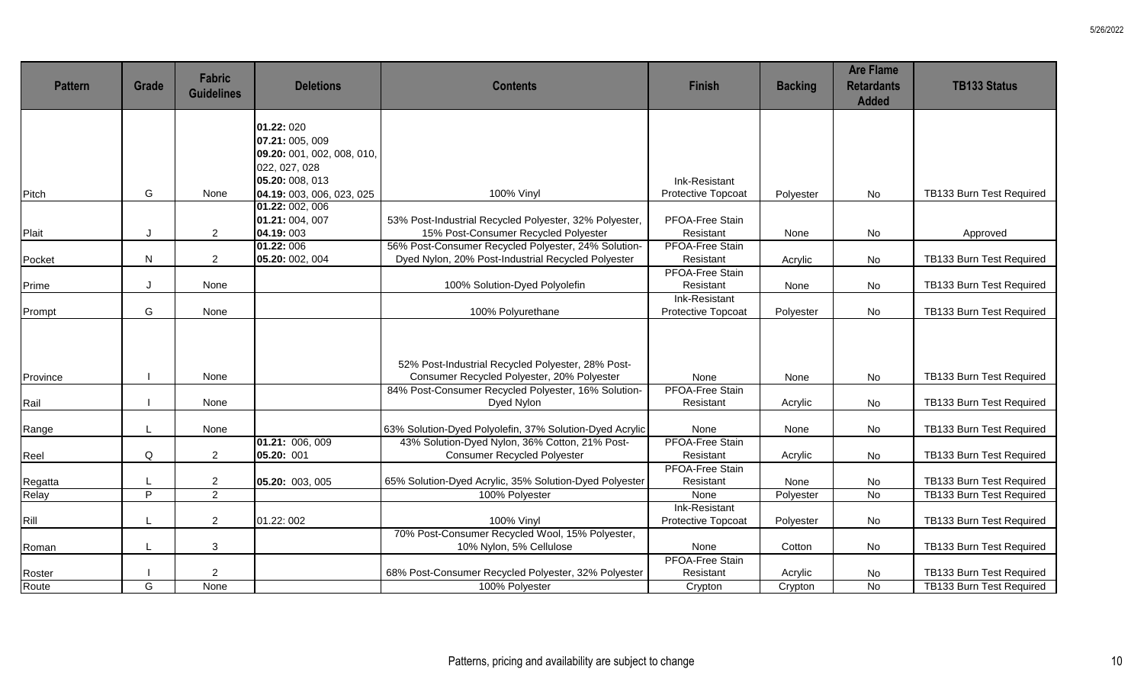| <b>Pattern</b>   | <b>Grade</b>   | <b>Fabric</b><br><b>Guidelines</b> | <b>Deletions</b>           | <b>Contents</b>                                         | <b>Finish</b>              | <b>Backing</b> | <b>Are Flame</b><br><b>Retardants</b><br><b>Added</b> | <b>TB133 Status</b>             |
|------------------|----------------|------------------------------------|----------------------------|---------------------------------------------------------|----------------------------|----------------|-------------------------------------------------------|---------------------------------|
|                  |                |                                    | 01.22: 020                 |                                                         |                            |                |                                                       |                                 |
|                  |                |                                    | 07.21: 005, 009            |                                                         |                            |                |                                                       |                                 |
|                  |                |                                    | 09.20: 001, 002, 008, 010, |                                                         |                            |                |                                                       |                                 |
|                  |                |                                    | 022, 027, 028              |                                                         |                            |                |                                                       |                                 |
|                  |                |                                    | 05.20: 008, 013            |                                                         | Ink-Resistant              |                |                                                       |                                 |
| Pitch            | G              | None                               | 04.19: 003, 006, 023, 025  | <b>100% Vinyl</b>                                       | Protective Topcoat         | Polyester      | <b>No</b>                                             | TB133 Burn Test Required        |
|                  |                |                                    | 01.22: 002, 006            |                                                         |                            |                |                                                       |                                 |
|                  |                |                                    | 01.21: 004, 007            | 53% Post-Industrial Recycled Polyester, 32% Polyester,  | PFOA-Free Stain            |                |                                                       |                                 |
| Plait            | J              | $\overline{2}$                     | 04.19:003                  | 15% Post-Consumer Recycled Polyester                    | Resistant                  | None           | No                                                    | Approved                        |
|                  |                |                                    | 01.22:006                  | 56% Post-Consumer Recycled Polyester, 24% Solution-     | PFOA-Free Stain            |                |                                                       |                                 |
| Pocket           | N              | $\overline{2}$                     | 05.20: 002, 004            | Dyed Nylon, 20% Post-Industrial Recycled Polyester      | Resistant                  | Acrylic        | <b>No</b>                                             | TB133 Burn Test Required        |
|                  |                |                                    |                            |                                                         | PFOA-Free Stain            |                |                                                       |                                 |
| Prime            | IJ             | None                               |                            | 100% Solution-Dyed Polyolefin                           | Resistant<br>Ink-Resistant | None           | No                                                    | TB133 Burn Test Required        |
| Prompt           | G              | None                               |                            | 100% Polyurethane                                       | Protective Topcoat         | Polyester      | No                                                    | TB133 Burn Test Required        |
|                  |                |                                    |                            |                                                         |                            |                |                                                       |                                 |
|                  |                |                                    |                            |                                                         |                            |                |                                                       |                                 |
|                  |                |                                    |                            | 52% Post-Industrial Recycled Polyester, 28% Post-       |                            |                |                                                       |                                 |
| Province         |                | None                               |                            | Consumer Recycled Polyester, 20% Polyester              | None                       | None           | No                                                    | TB133 Burn Test Required        |
|                  |                |                                    |                            | 84% Post-Consumer Recycled Polyester, 16% Solution-     | PFOA-Free Stain            |                |                                                       |                                 |
| Rail             |                | None                               |                            | Dyed Nylon                                              | Resistant                  | Acrylic        | No                                                    | TB133 Burn Test Required        |
|                  |                |                                    |                            |                                                         |                            |                |                                                       |                                 |
| Range            |                | None                               |                            | 63% Solution-Dyed Polyolefin, 37% Solution-Dyed Acrylic | None                       | None           | No                                                    | TB133 Burn Test Required        |
|                  |                |                                    | 01.21: 006, 009            | 43% Solution-Dyed Nylon, 36% Cotton, 21% Post-          | PFOA-Free Stain            |                |                                                       |                                 |
| Reel             | Q              | $\overline{2}$                     | 05.20: 001                 | <b>Consumer Recycled Polyester</b>                      | Resistant                  | Acrylic        | No                                                    | TB133 Burn Test Required        |
|                  |                |                                    |                            |                                                         | PFOA-Free Stain            |                |                                                       |                                 |
| Regatta<br>Relay | L              | $\overline{2}$                     | 05.20: 003, 005            | 65% Solution-Dyed Acrylic, 35% Solution-Dyed Polyester  | Resistant                  | None           | No                                                    | TB133 Burn Test Required        |
|                  | $\overline{P}$ | $\overline{2}$                     |                            | 100% Polyester                                          | None                       | Polyester      | <b>No</b>                                             | <b>TB133 Burn Test Required</b> |
|                  |                |                                    |                            | <b>100% Vinyl</b>                                       | Ink-Resistant              |                |                                                       |                                 |
| Rill             | L              | $\overline{2}$                     | 01.22: 002                 | 70% Post-Consumer Recycled Wool, 15% Polyester,         | Protective Topcoat         | Polyester      | No                                                    | TB133 Burn Test Required        |
| Roman            |                | 3                                  |                            | 10% Nylon, 5% Cellulose                                 | None                       | Cotton         | No                                                    | TB133 Burn Test Required        |
|                  |                |                                    |                            |                                                         | PFOA-Free Stain            |                |                                                       |                                 |
| Roster           |                | $\overline{a}$                     |                            | 68% Post-Consumer Recycled Polyester, 32% Polyester     | Resistant                  | Acrylic        | No                                                    | TB133 Burn Test Required        |
| Route            | G              | None                               |                            | 100% Polyester                                          | Crypton                    | Crypton        | <b>No</b>                                             | <b>TB133 Burn Test Required</b> |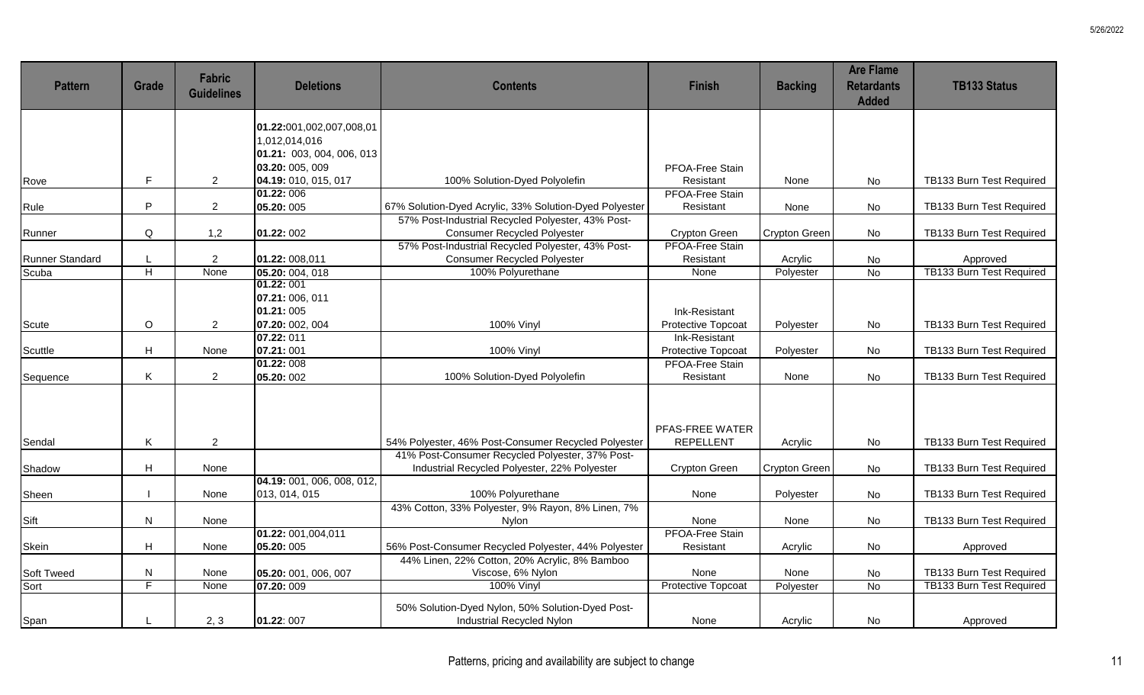| <b>Pattern</b>         | Grade          | <b>Fabric</b><br><b>Guidelines</b> | <b>Deletions</b>                                                       | <b>Contents</b>                                                                                             | <b>Finish</b>                       | <b>Backing</b>       | <b>Are Flame</b><br><b>Retardants</b><br><b>Added</b> | <b>TB133 Status</b>             |
|------------------------|----------------|------------------------------------|------------------------------------------------------------------------|-------------------------------------------------------------------------------------------------------------|-------------------------------------|----------------------|-------------------------------------------------------|---------------------------------|
|                        |                |                                    | 01.22:001,002,007,008,01<br>1,012,014,016<br>01.21: 003, 004, 006, 013 |                                                                                                             |                                     |                      |                                                       |                                 |
|                        | $\mathsf F$    |                                    | 03.20: 005, 009                                                        |                                                                                                             | PFOA-Free Stain                     |                      |                                                       |                                 |
| Rove                   |                | $\overline{2}$                     | 04.19: 010, 015, 017<br>01.22:006                                      | 100% Solution-Dyed Polyolefin                                                                               | Resistant<br><b>PFOA-Free Stain</b> | None                 | <b>No</b>                                             | TB133 Burn Test Required        |
| Rule                   | P              | $\overline{2}$                     | 05.20: 005                                                             | 67% Solution-Dyed Acrylic, 33% Solution-Dyed Polyester<br>57% Post-Industrial Recycled Polyester, 43% Post- | Resistant                           | None                 | No                                                    | TB133 Burn Test Required        |
| Runner                 | Q              | 1,2                                | 01.22: 002                                                             | <b>Consumer Recycled Polyester</b>                                                                          | Crypton Green                       | <b>Crypton Green</b> | No                                                    | TB133 Burn Test Required        |
| <b>Runner Standard</b> |                | $\overline{2}$                     | 01.22: 008,011                                                         | 57% Post-Industrial Recycled Polyester, 43% Post-<br><b>Consumer Recycled Polyester</b>                     | <b>PFOA-Free Stain</b><br>Resistant | Acrylic              | No                                                    | Approved                        |
| Scuba                  | $\overline{H}$ | None                               | 05.20: 004, 018                                                        | 100% Polyurethane                                                                                           | None                                | Polyester            | <b>No</b>                                             | <b>TB133 Burn Test Required</b> |
|                        |                |                                    | 01.22: 001<br>07.21: 006, 011<br>01.21:005                             |                                                                                                             | Ink-Resistant                       |                      |                                                       |                                 |
| Scute                  | O              | $\overline{2}$                     | 07.20: 002, 004                                                        | 100% Vinyl                                                                                                  | Protective Topcoat                  | Polyester            | <b>No</b>                                             | TB133 Burn Test Required        |
| Scuttle                | H              | None                               | 07.22: 011<br>07.21:001                                                | 100% Vinyl                                                                                                  | Ink-Resistant<br>Protective Topcoat | Polyester            | <b>No</b>                                             | TB133 Burn Test Required        |
| Sequence               | K              | 2                                  | 01.22: 008<br>05.20: 002                                               | 100% Solution-Dyed Polyolefin                                                                               | PFOA-Free Stain<br>Resistant        | None                 | No                                                    | TB133 Burn Test Required        |
| Sendal                 | Κ              | $\overline{2}$                     |                                                                        | 54% Polyester, 46% Post-Consumer Recycled Polyester                                                         | PFAS-FREE WATER<br><b>REPELLENT</b> | Acrylic              | No                                                    | TB133 Burn Test Required        |
|                        |                |                                    |                                                                        | 41% Post-Consumer Recycled Polyester, 37% Post-                                                             |                                     |                      |                                                       |                                 |
| Shadow                 | H              | None                               |                                                                        | Industrial Recycled Polyester, 22% Polyester                                                                | Crypton Green                       | <b>Crypton Green</b> | No                                                    | TB133 Burn Test Required        |
| Sheen                  |                | None                               | 04.19: 001, 006, 008, 012,<br>013, 014, 015                            | 100% Polyurethane                                                                                           | None                                | Polyester            | <b>No</b>                                             | TB133 Burn Test Required        |
| Sift                   | N              | None                               |                                                                        | 43% Cotton, 33% Polyester, 9% Rayon, 8% Linen, 7%<br>Nylon                                                  | None                                | None                 | No                                                    | TB133 Burn Test Required        |
| Skein                  | H              | None                               | 01.22: 001,004,011<br>05.20: 005                                       | 56% Post-Consumer Recycled Polyester, 44% Polyester                                                         | <b>PFOA-Free Stain</b><br>Resistant | Acrylic              | No                                                    | Approved                        |
| Soft Tweed             | N              | None                               | 05.20: 001, 006, 007                                                   | 44% Linen, 22% Cotton, 20% Acrylic, 8% Bamboo<br>Viscose, 6% Nylon                                          | None                                | None                 | No                                                    | TB133 Burn Test Required        |
| Sort                   | F              | None                               | 07.20: 009                                                             | 100% Vinyl                                                                                                  | <b>Protective Topcoat</b>           | Polyester            | <b>No</b>                                             | <b>TB133 Burn Test Required</b> |
| Span                   |                | 2, 3                               | 01.22: 007                                                             | 50% Solution-Dyed Nylon, 50% Solution-Dyed Post-<br>Industrial Recycled Nylon                               | None                                | Acrylic              | No                                                    | Approved                        |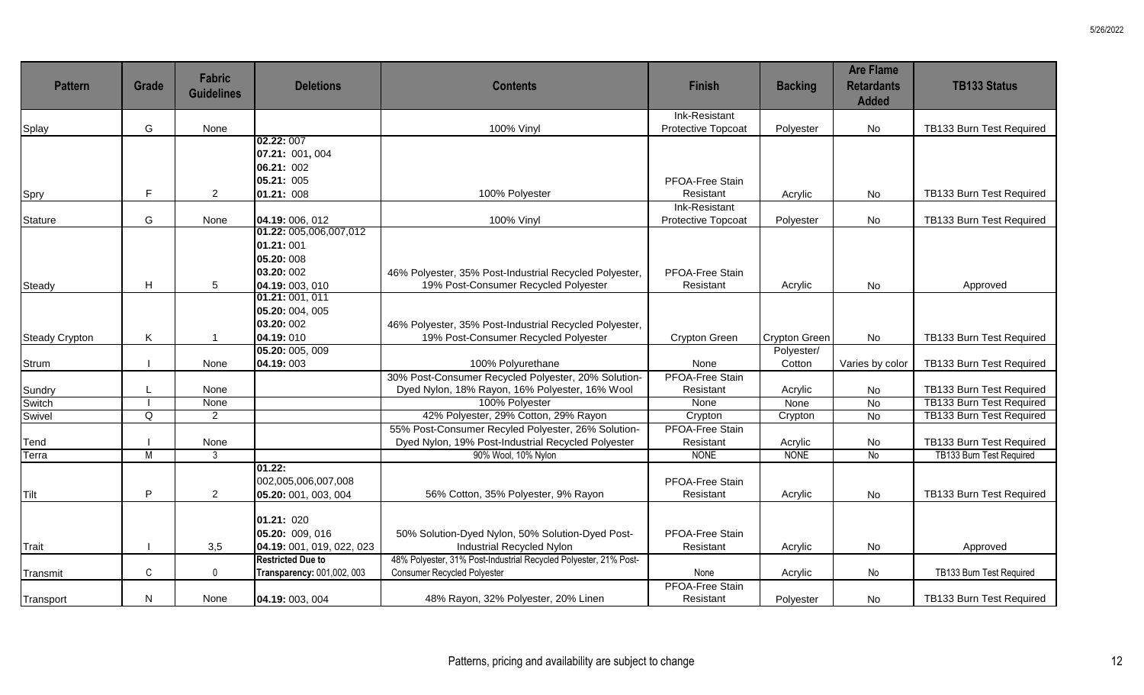| <b>Pattern</b>        | Grade          | <b>Fabric</b><br><b>Guidelines</b> | <b>Deletions</b>           | <b>Contents</b>                                                           | <b>Finish</b>            | <b>Backing</b>         | <b>Are Flame</b><br><b>Retardants</b><br><b>Added</b> | <b>TB133 Status</b>                                  |
|-----------------------|----------------|------------------------------------|----------------------------|---------------------------------------------------------------------------|--------------------------|------------------------|-------------------------------------------------------|------------------------------------------------------|
|                       | G              |                                    |                            |                                                                           | Ink-Resistant            |                        |                                                       |                                                      |
| Splay                 |                | None                               | 02.22: 007                 | 100% Vinyl                                                                | Protective Topcoat       | Polyester              | No                                                    | TB133 Burn Test Required                             |
|                       |                |                                    | 07.21: 001, 004            |                                                                           |                          |                        |                                                       |                                                      |
|                       |                |                                    | 06.21: 002                 |                                                                           |                          |                        |                                                       |                                                      |
|                       |                |                                    | 05.21: 005                 |                                                                           | PFOA-Free Stain          |                        |                                                       |                                                      |
| Spry                  | F              | $\overline{2}$                     | 01.21: 008                 | 100% Polyester                                                            | Resistant                | Acrylic                | No                                                    | TB133 Burn Test Required                             |
|                       |                |                                    |                            |                                                                           | <b>Ink-Resistant</b>     |                        |                                                       |                                                      |
| <b>Stature</b>        | G              | None                               | 04.19: 006, 012            | <b>100% Vinyl</b>                                                         | Protective Topcoat       | Polyester              | No                                                    | TB133 Burn Test Required                             |
|                       |                |                                    | 01.22: 005,006,007,012     |                                                                           |                          |                        |                                                       |                                                      |
|                       |                |                                    | 01.21:001                  |                                                                           |                          |                        |                                                       |                                                      |
|                       |                |                                    | 05.20:008                  |                                                                           |                          |                        |                                                       |                                                      |
|                       |                |                                    | 03.20: 002                 | 46% Polyester, 35% Post-Industrial Recycled Polyester,                    | PFOA-Free Stain          |                        |                                                       |                                                      |
| Steady                | H              | 5                                  | 04.19: 003, 010            | 19% Post-Consumer Recycled Polyester                                      | Resistant                | Acrylic                | <b>No</b>                                             | Approved                                             |
|                       |                |                                    | 01.21: 001, 011            |                                                                           |                          |                        |                                                       |                                                      |
|                       |                |                                    | 05.20: 004, 005            |                                                                           |                          |                        |                                                       |                                                      |
|                       |                |                                    | 03.20: 002                 | 46% Polyester, 35% Post-Industrial Recycled Polyester,                    |                          |                        |                                                       |                                                      |
| <b>Steady Crypton</b> | Κ              |                                    | 04.19:010                  | 19% Post-Consumer Recycled Polyester                                      | Crypton Green            | <b>Crypton Green</b>   | No                                                    | TB133 Burn Test Required                             |
|                       |                |                                    | 05.20: 005, 009            |                                                                           |                          | Polyester/             |                                                       |                                                      |
| Strum                 |                | None                               | 04.19:003                  | 100% Polyurethane                                                         | None                     | Cotton                 | Varies by color                                       | TB133 Burn Test Required                             |
|                       |                |                                    |                            | 30% Post-Consumer Recycled Polyester, 20% Solution-                       | <b>PFOA-Free Stain</b>   |                        |                                                       |                                                      |
| Sundry                |                | None                               |                            | Dyed Nylon, 18% Rayon, 16% Polyester, 16% Wool                            | Resistant                | Acrylic                | No                                                    | TB133 Burn Test Required                             |
| Switch                |                | None                               |                            | 100% Polyester                                                            | None                     | None                   | $\overline{N}$                                        | <b>TB133 Burn Test Required</b>                      |
| Swivel                | Q              | $\overline{2}$                     |                            | 42% Polyester, 29% Cotton, 29% Rayon                                      | Crypton                  | Crypton                | <b>No</b>                                             | TB133 Burn Test Required                             |
|                       |                |                                    |                            | 55% Post-Consumer Recyled Polyester, 26% Solution-                        | <b>PFOA-Free Stain</b>   |                        |                                                       |                                                      |
| Tend                  | $\overline{M}$ | None<br>3                          |                            | Dyed Nylon, 19% Post-Industrial Recycled Polyester<br>90% Wool, 10% Nylon | Resistant<br><b>NONE</b> | Acrylic<br><b>NONE</b> | No<br>No                                              | TB133 Burn Test Required<br>TB133 Burn Test Required |
| Terra                 |                |                                    | 01.22:                     |                                                                           |                          |                        |                                                       |                                                      |
|                       |                |                                    | 002,005,006,007,008        |                                                                           | PFOA-Free Stain          |                        |                                                       |                                                      |
| Tilt                  | P              | $\overline{2}$                     | 05.20: 001, 003, 004       | 56% Cotton, 35% Polyester, 9% Rayon                                       | Resistant                | Acrylic                | No                                                    | TB133 Burn Test Required                             |
|                       |                |                                    |                            |                                                                           |                          |                        |                                                       |                                                      |
|                       |                |                                    | 01.21: 020                 |                                                                           |                          |                        |                                                       |                                                      |
|                       |                |                                    | 05.20: 009, 016            | 50% Solution-Dyed Nylon, 50% Solution-Dyed Post-                          | PFOA-Free Stain          |                        |                                                       |                                                      |
| Trait                 |                | 3,5                                | 04.19: 001, 019, 022, 023  | Industrial Recycled Nylon                                                 | Resistant                | Acrylic                | No                                                    | Approved                                             |
|                       |                |                                    | <b>Restricted Due to</b>   | 48% Polyester, 31% Post-Industrial Recycled Polyester, 21% Post-          |                          |                        |                                                       |                                                      |
| Transmit              | C              | 0                                  | Transparency: 001,002, 003 | <b>Consumer Recycled Polyester</b>                                        | None                     | Acrylic                | No                                                    | TB133 Burn Test Required                             |
|                       |                |                                    |                            |                                                                           | <b>PFOA-Free Stain</b>   |                        |                                                       |                                                      |
| Transport             | N              | None                               | 04.19: 003, 004            | 48% Rayon, 32% Polyester, 20% Linen                                       | Resistant                | Polyester              | No                                                    | TB133 Burn Test Required                             |